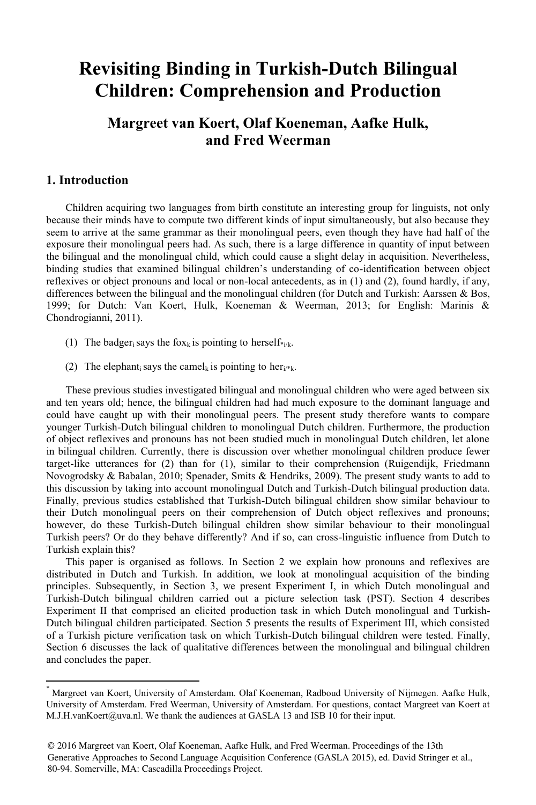## **Revisiting Binding in Turkish-Dutch Bilingual Children: Comprehension and Production**

## **Margreet van Koert, Olaf Koeneman, Aafke Hulk, and Fred Weerman**

#### **1. Introduction**

Children acquiring two languages from birth constitute an interesting group for linguists, not only because their minds have to compute two different kinds of input simultaneously, but also because they seem to arrive at the same grammar as their monolingual peers, even though they have had half of the exposure their monolingual peers had. As such, there is a large difference in quantity of input between the bilingual and the monolingual child, which could cause a slight delay in acquisition. Nevertheless, binding studies that examined bilingual children's understanding of co-identification between object reflexives or object pronouns and local or non-local antecedents, as in (1) and (2), found hardly, if any, differences between the bilingual and the monolingual children (for Dutch and Turkish: Aarssen & Bos, 1999; for Dutch: Van Koert, Hulk, Koeneman & Weerman, 2013; for English: Marinis & Chondrogianni, 2011).

- (1) The badger<sub>i</sub> says the fox<sub>k</sub> is pointing to herself\*<sub>i/k</sub>.
- (2) The elephant says the camel<sub>k</sub> is pointing to her<sub>i/\*k</sub>.

These previous studies investigated bilingual and monolingual children who were aged between six and ten years old; hence, the bilingual children had had much exposure to the dominant language and could have caught up with their monolingual peers. The present study therefore wants to compare younger Turkish-Dutch bilingual children to monolingual Dutch children. Furthermore, the production of object reflexives and pronouns has not been studied much in monolingual Dutch children, let alone in bilingual children. Currently, there is discussion over whether monolingual children produce fewer target-like utterances for (2) than for (1), similar to their comprehension (Ruigendijk, Friedmann Novogrodsky & Babalan, 2010; Spenader, Smits & Hendriks, 2009). The present study wants to add to this discussion by taking into account monolingual Dutch and Turkish-Dutch bilingual production data. Finally, previous studies established that Turkish-Dutch bilingual children show similar behaviour to their Dutch monolingual peers on their comprehension of Dutch object reflexives and pronouns; however, do these Turkish-Dutch bilingual children show similar behaviour to their monolingual Turkish peers? Or do they behave differently? And if so, can cross-linguistic influence from Dutch to Turkish explain this?

This paper is organised as follows. In Section 2 we explain how pronouns and reflexives are distributed in Dutch and Turkish. In addition, we look at monolingual acquisition of the binding principles. Subsequently, in Section 3, we present Experiment I, in which Dutch monolingual and Turkish-Dutch bilingual children carried out a picture selection task (PST). Section 4 describes Experiment II that comprised an elicited production task in which Dutch monolingual and Turkish-Dutch bilingual children participated. Section 5 presents the results of Experiment III, which consisted of a Turkish picture verification task on which Turkish-Dutch bilingual children were tested. Finally, Section 6 discusses the lack of qualitative differences between the monolingual and bilingual children and concludes the paper.

<sup>\*</sup> Margreet van Koert, University of Amsterdam. Olaf Koeneman, Radboud University of Nijmegen. Aafke Hulk, University of Amsterdam. Fred Weerman, University of Amsterdam. For questions, contact Margreet van Koert at M.J.H.vanKoert@uva.nl. We thank the audiences at GASLA 13 and ISB 10 for their input.

<sup>© 2016</sup> Margreet van Koert, Olaf Koeneman, Aafke Hulk, and Fred Weerman. Proceedings of the 13th Generative Approaches to Second Language Acquisition Conference (GASLA 2015), ed. David Stringer et al., 80-94. Somerville, MA: Cascadilla Proceedings Project.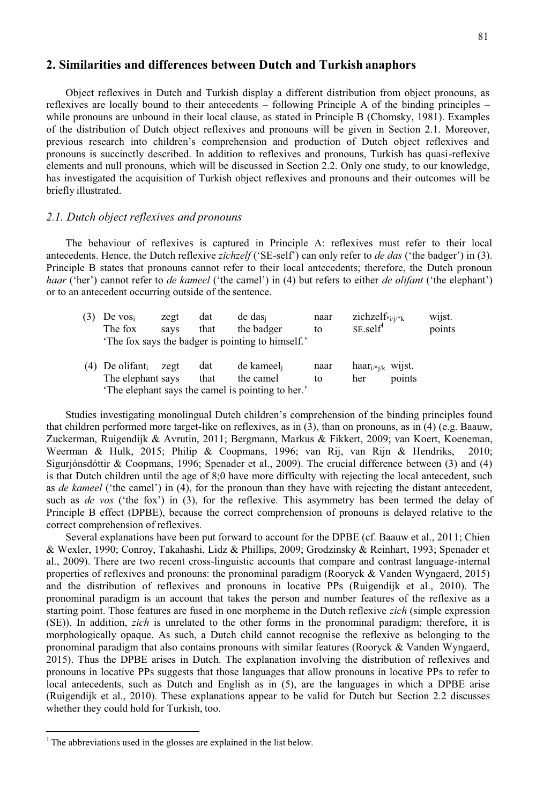### **2. Similarities and differences between Dutch and Turkish anaphors**

Object reflexives in Dutch and Turkish display a different distribution from object pronouns, as reflexives are locally bound to their antecedents – following Principle A of the binding principles – while pronouns are unbound in their local clause, as stated in Principle B (Chomsky, 1981). Examples of the distribution of Dutch object reflexives and pronouns will be given in Section 2.1. Moreover, previous research into children's comprehension and production of Dutch object reflexives and pronouns is succinctly described. In addition to reflexives and pronouns, Turkish has quasi-reflexive elements and null pronouns, which will be discussed in Section 2.2. Only one study, to our knowledge, has investigated the acquisition of Turkish object reflexives and pronouns and their outcomes will be briefly illustrated.

#### *2.1. Dutch object reflexives and pronouns*

The behaviour of reflexives is captured in Principle A: reflexives must refer to their local antecedents. Hence, the Dutch reflexive *zichzelf* ('SE-self') can only refer to *de das* ('the badger') in (3). Principle B states that pronouns cannot refer to their local antecedents; therefore, the Dutch pronoun *haar* ('her') cannot refer to *de kameel* ('the camel') in (4) but refers to either *de olifant* ('the elephant') or to an antecedent occurring outside of the sentence.

|                                                  | De vosi                       | zegt | dat  | de das                                            | naar | zichzel $f_{i/j/*k}$  |        | wijst. |
|--------------------------------------------------|-------------------------------|------|------|---------------------------------------------------|------|-----------------------|--------|--------|
|                                                  | The fox                       | savs | that | the badger                                        | tο   | SE.setIf <sup>1</sup> |        | points |
|                                                  |                               |      |      | 'The fox says the badger is pointing to himself.' |      |                       |        |        |
|                                                  | $(4)$ De olifant <sub>i</sub> | zegt | dat  | de kameel                                         | naar | haar $_{i/k}$ wijst.  |        |        |
|                                                  | The elephant says             |      | that | the camel                                         | to   | her                   | points |        |
| The elephant says the camel is pointing to her.' |                               |      |      |                                                   |      |                       |        |        |

Studies investigating monolingual Dutch children's comprehension of the binding principles found that children performed more target-like on reflexives, as in (3), than on pronouns, as in (4) (e.g. Baauw, Zuckerman, Ruigendijk & Avrutin, 2011; Bergmann, Markus & Fikkert, 2009; van Koert, Koeneman, Weerman & Hulk, 2015; Philip & Coopmans, 1996; van Rij, van Rijn & Hendriks, 2010; Sigurjónsdóttir & Coopmans, 1996; Spenader et al., 2009). The crucial difference between (3) and (4) is that Dutch children until the age of 8;0 have more difficulty with rejecting the local antecedent, such as *de kameel* ('the camel') in (4), for the pronoun than they have with rejecting the distant antecedent, such as *de vos* ('the fox') in (3), for the reflexive. This asymmetry has been termed the delay of Principle B effect (DPBE), because the correct comprehension of pronouns is delayed relative to the correct comprehension of reflexives.

Several explanations have been put forward to account for the DPBE (cf. Baauw et al., 2011; Chien & Wexler, 1990; Conroy, Takahashi, Lidz & Phillips, 2009; Grodzinsky & Reinhart, 1993; Spenader et al., 2009). There are two recent cross-linguistic accounts that compare and contrast language-internal properties of reflexives and pronouns: the pronominal paradigm (Rooryck & Vanden Wyngaerd, 2015) and the distribution of reflexives and pronouns in locative PPs (Ruigendijk et al., 2010). The pronominal paradigm is an account that takes the person and number features of the reflexive as a starting point. Those features are fused in one morpheme in the Dutch reflexive *zich* (simple expression (SE)). In addition, *zich* is unrelated to the other forms in the pronominal paradigm; therefore, it is morphologically opaque. As such, a Dutch child cannot recognise the reflexive as belonging to the pronominal paradigm that also contains pronouns with similar features (Rooryck & Vanden Wyngaerd, 2015). Thus the DPBE arises in Dutch. The explanation involving the distribution of reflexives and pronouns in locative PPs suggests that those languages that allow pronouns in locative PPs to refer to local antecedents, such as Dutch and English as in (5), are the languages in which a DPBE arise (Ruigendijk et al., 2010). These explanations appear to be valid for Dutch but Section 2.2 discusses whether they could hold for Turkish, too.

 $1$ <sup>1</sup> The abbreviations used in the glosses are explained in the list below.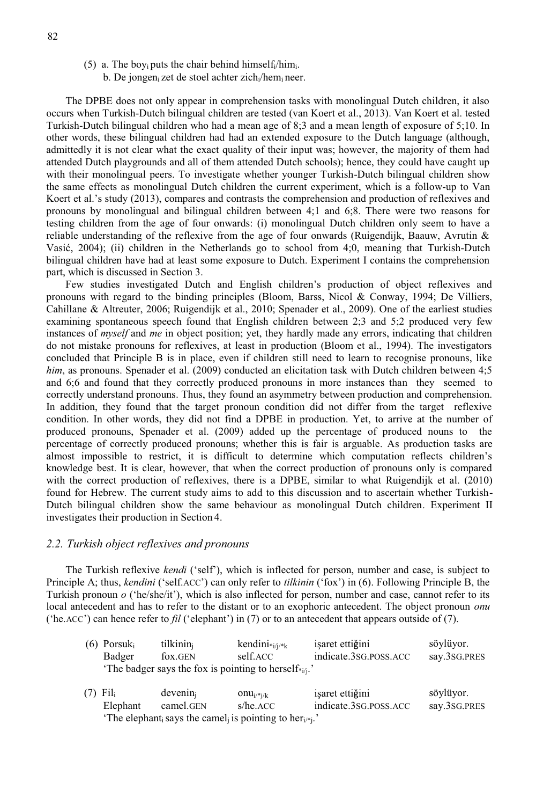- (5) a. The boy<sub>i</sub> puts the chair behind himself;/him.
	- b. De jongen zet de stoel achter zich /hem neer.

The DPBE does not only appear in comprehension tasks with monolingual Dutch children, it also occurs when Turkish-Dutch bilingual children are tested (van Koert et al., 2013). Van Koert et al. tested Turkish-Dutch bilingual children who had a mean age of 8;3 and a mean length of exposure of 5;10. In other words, these bilingual children had had an extended exposure to the Dutch language (although, admittedly it is not clear what the exact quality of their input was; however, the majority of them had attended Dutch playgrounds and all of them attended Dutch schools); hence, they could have caught up with their monolingual peers. To investigate whether younger Turkish-Dutch bilingual children show the same effects as monolingual Dutch children the current experiment, which is a follow-up to Van Koert et al.'s study (2013), compares and contrasts the comprehension and production of reflexives and pronouns by monolingual and bilingual children between 4;1 and 6;8. There were two reasons for testing children from the age of four onwards: (i) monolingual Dutch children only seem to have a reliable understanding of the reflexive from the age of four onwards (Ruigendijk, Baauw, Avrutin  $\&$ Vasić, 2004); (ii) children in the Netherlands go to school from 4;0, meaning that Turkish-Dutch bilingual children have had at least some exposure to Dutch. Experiment I contains the comprehension part, which is discussed in Section 3.

Few studies investigated Dutch and English children's production of object reflexives and pronouns with regard to the binding principles (Bloom, Barss, Nicol & Conway, 1994; De Villiers, Cahillane & Altreuter, 2006; Ruigendijk et al., 2010; Spenader et al., 2009). One of the earliest studies examining spontaneous speech found that English children between 2;3 and 5;2 produced very few instances of *myself* and *me* in object position; yet, they hardly made any errors, indicating that children do not mistake pronouns for reflexives, at least in production (Bloom et al., 1994). The investigators concluded that Principle B is in place, even if children still need to learn to recognise pronouns, like *him*, as pronouns. Spenader et al. (2009) conducted an elicitation task with Dutch children between 4;5 and 6;6 and found that they correctly produced pronouns in more instances than they seemed to correctly understand pronouns. Thus, they found an asymmetry between production and comprehension. In addition, they found that the target pronoun condition did not differ from the target reflexive condition. In other words, they did not find a DPBE in production. Yet, to arrive at the number of produced pronouns, Spenader et al. (2009) added up the percentage of produced nouns to the percentage of correctly produced pronouns; whether this is fair is arguable. As production tasks are almost impossible to restrict, it is difficult to determine which computation reflects children's knowledge best. It is clear, however, that when the correct production of pronouns only is compared with the correct production of reflexives, there is a DPBE, similar to what Ruigendijk et al. (2010) found for Hebrew. The current study aims to add to this discussion and to ascertain whether Turkish-Dutch bilingual children show the same behaviour as monolingual Dutch children. Experiment II investigates their production in Section 4.

#### *2.2. Turkish object reflexives and pronouns*

The Turkish reflexive *kendi* ('self'), which is inflected for person, number and case, is subject to Principle A; thus, *kendini* ('self.ACC') can only refer to *tilkinin* ('fox') in (6). Following Principle B, the Turkish pronoun *o* ('he/she/it'), which is also inflected for person, number and case, cannot refer to its local antecedent and has to refer to the distant or to an exophoric antecedent. The object pronoun *onu*  ('he.ACC') can hence refer to *fil* ('elephant') in (7) or to an antecedent that appears outside of (7).

| $(6)$ Porsuk <sub>i</sub> | tilkinin <sub>i</sub>                                              | kendini $*_{i/i} *_{k}$ | işaret ettiğini       | söylüyor.    |
|---------------------------|--------------------------------------------------------------------|-------------------------|-----------------------|--------------|
| Badger                    | fox.GEN                                                            | self.ACC                | indicate.3sG.poss.ACC | say.3SG.PRES |
|                           | 'The badger says the fox is pointing to herself* <sub>i/i</sub> .' |                         |                       |              |

(7) Fil<sub>i</sub> devenin<sub>i</sub> onu<sub>i/\*i/k</sub> işaret ettiğini söylüyor. Elephant camel.GEN s/he.ACC indicate.3SG.POSS.ACC say.3SG.PRES The elephant<sub>i</sub> says the camel<sub>i</sub> is pointing to her<sub>i/\*j</sub>.'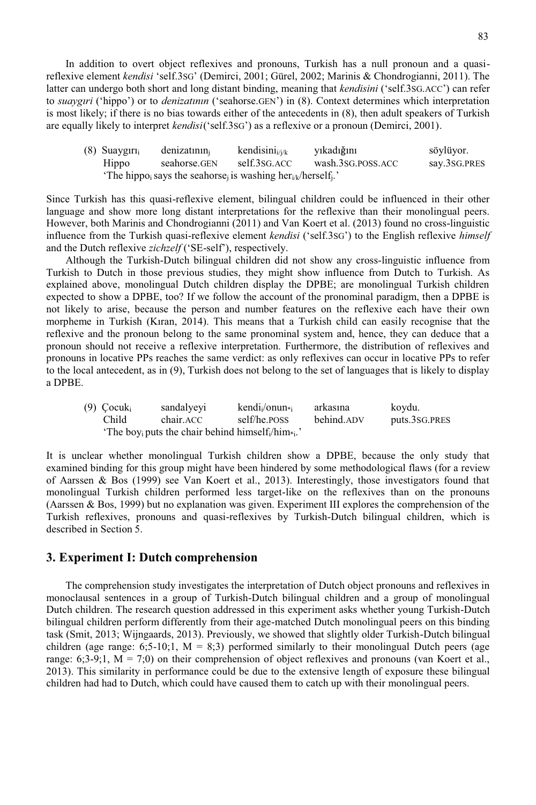In addition to overt object reflexives and pronouns, Turkish has a null pronoun and a quasireflexive element *kendisi* 'self.3SG' (Demirci, 2001; Gürel, 2002; Marinis & Chondrogianni, 2011). The latter can undergo both short and long distant binding, meaning that *kendisini* ('self.3SG.ACC') can refer to *suaygıri* ('hippo') or to *denizatının* ('seahorse.GEN') in (8). Context determines which interpretation is most likely; if there is no bias towards either of the antecedents in (8), then adult speakers of Turkish are equally likely to interpret *kendisi* ('self.3SG') as a reflexive or a pronoun (Demirci, 2001).

| $(8)$ Suaygiri | denizatinin                                                                                             | kendisini $_{i/i/k}$ | yıkadığını        | söylüyor.    |
|----------------|---------------------------------------------------------------------------------------------------------|----------------------|-------------------|--------------|
| Hippo          | seahorse.GEN                                                                                            | self.3sG.ACC         | wash.3SG.POSS.ACC | say.3SG.PRES |
|                | 'The hippo <sub>i</sub> says the seahorse <sub>i</sub> is washing her $_{i/k}$ /herself <sub>i</sub> .' |                      |                   |              |

Since Turkish has this quasi-reflexive element, bilingual children could be influenced in their other language and show more long distant interpretations for the reflexive than their monolingual peers. However, both Marinis and Chondrogianni (2011) and Van Koert et al. (2013) found no cross-linguistic influence from the Turkish quasi-reflexive element *kendisi* ('self.3SG') to the English reflexive *himself*  and the Dutch reflexive *zichzelf* ('SE-self'), respectively.

Although the Turkish-Dutch bilingual children did not show any cross-linguistic influence from Turkish to Dutch in those previous studies, they might show influence from Dutch to Turkish. As explained above, monolingual Dutch children display the DPBE; are monolingual Turkish children expected to show a DPBE, too? If we follow the account of the pronominal paradigm, then a DPBE is not likely to arise, because the person and number features on the reflexive each have their own morpheme in Turkish (Kıran, 2014). This means that a Turkish child can easily recognise that the reflexive and the pronoun belong to the same pronominal system and, hence, they can deduce that a pronoun should not receive a reflexive interpretation. Furthermore, the distribution of reflexives and pronouns in locative PPs reaches the same verdict: as only reflexives can occur in locative PPs to refer to the local antecedent, as in (9), Turkish does not belong to the set of languages that is likely to display a DPBE.

| $(9)$ Cocuk <sub>i</sub> | sandalyeyi                                                                             | $kendi/onun*$ | arkasına   | koydu.        |
|--------------------------|----------------------------------------------------------------------------------------|---------------|------------|---------------|
| Child                    | chair.ACC                                                                              | self/he.poss  | behind.ADV | puts.3SG.PRES |
|                          | 'The boy <sub>i</sub> puts the chair behind himself <sub>i</sub> /him <sub>*i</sub> .' |               |            |               |

It is unclear whether monolingual Turkish children show a DPBE, because the only study that examined binding for this group might have been hindered by some methodological flaws (for a review of Aarssen & Bos (1999) see Van Koert et al., 2013). Interestingly, those investigators found that monolingual Turkish children performed less target-like on the reflexives than on the pronouns (Aarssen & Bos, 1999) but no explanation was given. Experiment III explores the comprehension of the Turkish reflexives, pronouns and quasi-reflexives by Turkish-Dutch bilingual children, which is described in Section 5.

#### **3. Experiment I: Dutch comprehension**

The comprehension study investigates the interpretation of Dutch object pronouns and reflexives in monoclausal sentences in a group of Turkish-Dutch bilingual children and a group of monolingual Dutch children. The research question addressed in this experiment asks whether young Turkish-Dutch bilingual children perform differently from their age-matched Dutch monolingual peers on this binding task (Smit, 2013; Wijngaards, 2013). Previously, we showed that slightly older Turkish-Dutch bilingual children (age range: 6;5-10;1,  $M = 8$ ;3) performed similarly to their monolingual Dutch peers (age range:  $6;3-9;1$ ,  $M = 7;0$ ) on their comprehension of object reflexives and pronouns (van Koert et al., 2013). This similarity in performance could be due to the extensive length of exposure these bilingual children had had to Dutch, which could have caused them to catch up with their monolingual peers.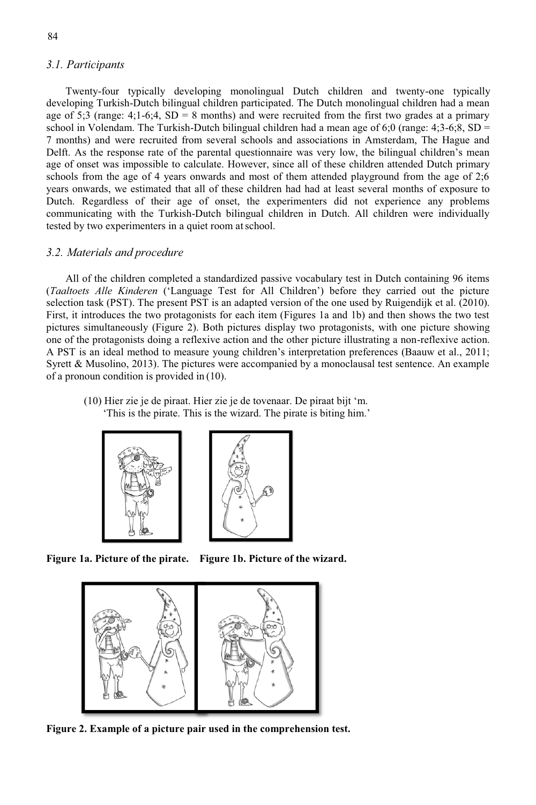#### *3.1. Participants*

Twenty-four typically developing monolingual Dutch children and twenty-one typically developing Turkish-Dutch bilingual children participated. The Dutch monolingual children had a mean age of 5;3 (range: 4;1-6;4, SD = 8 months) and were recruited from the first two grades at a primary school in Volendam. The Turkish-Dutch bilingual children had a mean age of 6;0 (range:  $4;3-6;8$ , SD = 7 months) and were recruited from several schools and associations in Amsterdam, The Hague and Delft. As the response rate of the parental questionnaire was very low, the bilingual children's mean age of onset was impossible to calculate. However, since all of these children attended Dutch primary schools from the age of 4 years onwards and most of them attended playground from the age of 2;6 years onwards, we estimated that all of these children had had at least several months of exposure to Dutch. Regardless of their age of onset, the experimenters did not experience any problems communicating with the Turkish-Dutch bilingual children in Dutch. All children were individually tested by two experimenters in a quiet room at school.

#### *3.2. Materials and procedure*

All of the children completed a standardized passive vocabulary test in Dutch containing 96 items (*Taaltoets Alle Kinderen* ('Language Test for All Children') before they carried out the picture selection task (PST). The present PST is an adapted version of the one used by Ruigendijk et al. (2010). First, it introduces the two protagonists for each item (Figures 1a and 1b) and then shows the two test pictures simultaneously (Figure 2). Both pictures display two protagonists, with one picture showing one of the protagonists doing a reflexive action and the other picture illustrating a non-reflexive action. A PST is an ideal method to measure young children's interpretation preferences (Baauw et al., 2011; Syrett & Musolino, 2013). The pictures were accompanied by a monoclausal test sentence. An example of a pronoun condition is provided in (10).

(10) Hier zie je de piraat. Hier zie je de tovenaar. De piraat bijt 'm. 'This is the pirate. This is the wizard. The pirate is biting him.'





**Figure 1a. Picture of the pirate. Figure 1b. Picture of the wizard.** 



**Figure 2. Example of a picture pair used in the comprehension test.**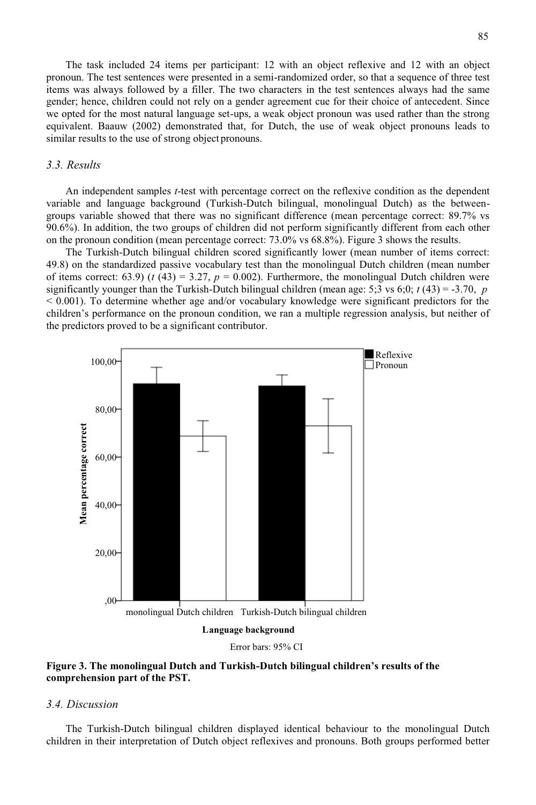The task included 24 items per participant: 12 with an object reflexive and 12 with an object pronoun. The test sentences were presented in a semi-randomized order, so that a sequence of three test items was always followed by a filler. The two characters in the test sentences always had the same gender; hence, children could not rely on a gender agreement cue for their choice of antecedent. Since we opted for the most natural language set-ups, a weak object pronoun was used rather than the strong equivalent. Baauw (2002) demonstrated that, for Dutch, the use of weak object pronouns leads to similar results to the use of strong object pronouns.

#### *3.3. Results*

An independent samples *t*-test with percentage correct on the reflexive condition as the dependent variable and language background (Turkish-Dutch bilingual, monolingual Dutch) as the betweengroups variable showed that there was no significant difference (mean percentage correct: 89.7% vs 90.6%). In addition, the two groups of children did not perform significantly different from each other on the pronoun condition (mean percentage correct: 73.0% vs 68.8%). Figure 3 shows the results.

The Turkish-Dutch bilingual children scored significantly lower (mean number of items correct: 49.8) on the standardized passive vocabulary test than the monolingual Dutch children (mean number of items correct:  $(63.9)$  ( $t$  ( $43$ ) = 3.27,  $p$  = 0.002). Furthermore, the monolingual Dutch children were significantly younger than the Turkish-Dutch bilingual children (mean age: 5:3 vs 6:0;  $t$  (43) = -3.70, *p* < 0.001). To determine whether age and/or vocabulary knowledge were significant predictors for the children's performance on the pronoun condition, we ran a multiple regression analysis, but neither of the predictors proved to be a significant contributor.



Error bars: 95% CI

#### **Figure 3. The monolingual Dutch and Turkish-Dutch bilingual children's results of the comprehension part of the PST.**

#### *3.4. Discussion*

The Turkish-Dutch bilingual children displayed identical behaviour to the monolingual Dutch children in their interpretation of Dutch object reflexives and pronouns. Both groups performed better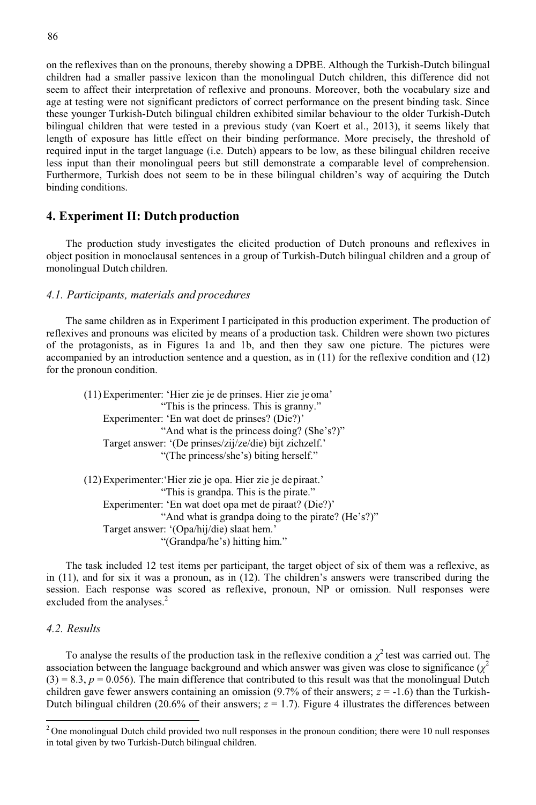on the reflexives than on the pronouns, thereby showing a DPBE. Although the Turkish-Dutch bilingual children had a smaller passive lexicon than the monolingual Dutch children, this difference did not seem to affect their interpretation of reflexive and pronouns. Moreover, both the vocabulary size and age at testing were not significant predictors of correct performance on the present binding task. Since these younger Turkish-Dutch bilingual children exhibited similar behaviour to the older Turkish-Dutch bilingual children that were tested in a previous study (van Koert et al., 2013), it seems likely that length of exposure has little effect on their binding performance. More precisely, the threshold of required input in the target language (i.e. Dutch) appears to be low, as these bilingual children receive less input than their monolingual peers but still demonstrate a comparable level of comprehension. Furthermore, Turkish does not seem to be in these bilingual children's way of acquiring the Dutch binding conditions.

#### **4. Experiment II: Dutch production**

The production study investigates the elicited production of Dutch pronouns and reflexives in object position in monoclausal sentences in a group of Turkish-Dutch bilingual children and a group of monolingual Dutch children.

#### *4.1. Participants, materials and procedures*

The same children as in Experiment I participated in this production experiment. The production of reflexives and pronouns was elicited by means of a production task. Children were shown two pictures of the protagonists, as in Figures 1a and 1b, and then they saw one picture. The pictures were accompanied by an introduction sentence and a question, as in (11) for the reflexive condition and (12) for the pronoun condition.

(11)Experimenter: 'Hier zie je de prinses. Hier zie je oma' "This is the princess. This is granny." Experimenter: 'En wat doet de prinses? (Die?)' "And what is the princess doing? (She's?)" Target answer: '(De prinses/zij/ze/die) bijt zichzelf.' "(The princess/she's) biting herself." (12)Experimenter:'Hier zie je opa. Hier zie je de piraat.' "This is grandpa. This is the pirate." Experimenter: 'En wat doet opa met de piraat? (Die?)' "And what is grandpa doing to the pirate? (He's?)" Target answer: '(Opa/hij/die) slaat hem.' "(Grandpa/he's) hitting him."

The task included 12 test items per participant, the target object of six of them was a reflexive, as in (11), and for six it was a pronoun, as in (12). The children's answers were transcribed during the session. Each response was scored as reflexive, pronoun, NP or omission. Null responses were excluded from the analyses.<sup>2</sup>

#### *4.2. Results*

To analyse the results of the production task in the reflexive condition a  $\chi^2$  test was carried out. The association between the language background and which answer was given was close to significance  $(\chi^2)$  $(3) = 8.3, p = 0.056$ ). The main difference that contributed to this result was that the monolingual Dutch children gave fewer answers containing an omission  $(9.7\%$  of their answers;  $z = -1.6$ ) than the Turkish-Dutch bilingual children (20.6% of their answers;  $z = 1.7$ ). Figure 4 illustrates the differences between

 $2$  One monolingual Dutch child provided two null responses in the pronoun condition; there were 10 null responses in total given by two Turkish-Dutch bilingual children.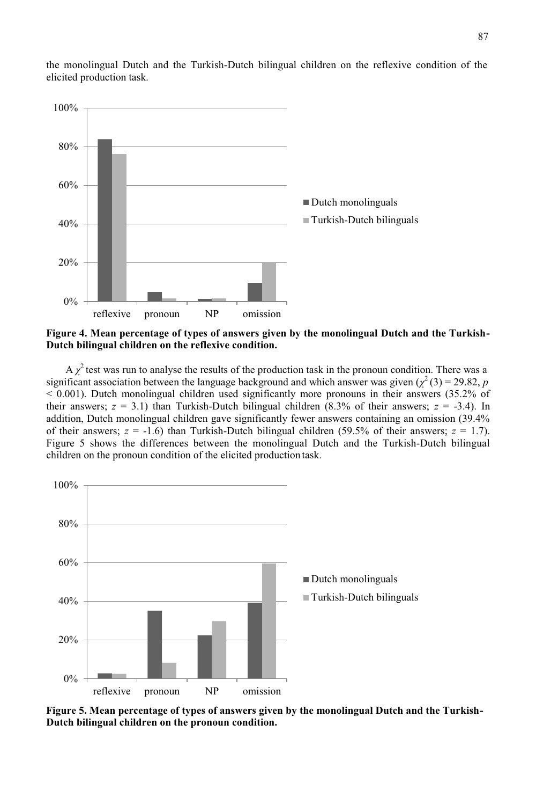

the monolingual Dutch and the Turkish-Dutch bilingual children on the reflexive condition of the elicited production task.

**Figure 4. Mean percentage of types of answers given by the monolingual Dutch and the Turkish-Dutch bilingual children on the reflexive condition.** 

 $A \chi^2$  test was run to analyse the results of the production task in the pronoun condition. There was a significant association between the language background and which answer was given  $(\chi^2(3) = 29.82, p$ < 0.001). Dutch monolingual children used significantly more pronouns in their answers (35.2% of their answers;  $z = 3.1$ ) than Turkish-Dutch bilingual children  $(8.3\%$  of their answers;  $z = -3.4$ ). In addition, Dutch monolingual children gave significantly fewer answers containing an omission (39.4% of their answers;  $z = -1.6$ ) than Turkish-Dutch bilingual children (59.5% of their answers;  $z = 1.7$ ). Figure 5 shows the differences between the monolingual Dutch and the Turkish-Dutch bilingual children on the pronoun condition of the elicited production task.



**Figure 5. Mean percentage of types of answers given by the monolingual Dutch and the Turkish-Dutch bilingual children on the pronoun condition.**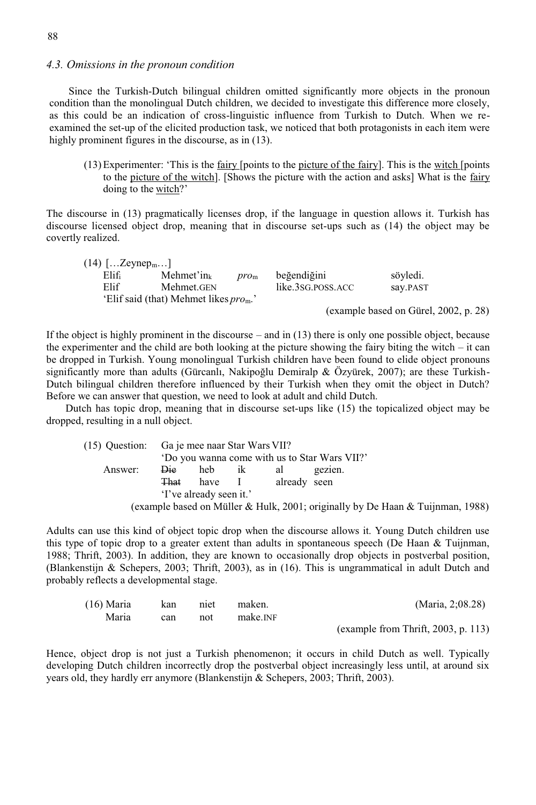#### *4.3. Omissions in the pronoun condition*

Since the Turkish-Dutch bilingual children omitted significantly more objects in the pronoun condition than the monolingual Dutch children, we decided to investigate this difference more closely, as this could be an indication of cross-linguistic influence from Turkish to Dutch. When we reexamined the set-up of the elicited production task, we noticed that both protagonists in each item were highly prominent figures in the discourse, as in  $(13)$ .

(13)Experimenter: 'This is the fairy [points to the picture of the fairy]. This is the witch [points to the picture of the witch]. [Shows the picture with the action and asks] What is the fairy doing to the witch?'

The discourse in (13) pragmatically licenses drop, if the language in question allows it. Turkish has discourse licensed object drop, meaning that in discourse set-ups such as (14) the object may be covertly realized.

| $(14)$ [Zeynep <sub>m</sub> ] |                                                           |               |                   |                                       |
|-------------------------------|-----------------------------------------------------------|---------------|-------------------|---------------------------------------|
| Elif                          | Mehmet'in $_k$                                            | $pro_{\rm m}$ | beğendiğini       | söyledi.                              |
| Elif                          | Mehmet.GEN                                                |               | like.3sg.poss.acc | say.PAST                              |
|                               | 'Elif said (that) Mehmet likes <i>pro</i> <sub>m</sub> .' |               |                   |                                       |
|                               |                                                           |               |                   | (example based on Gürel, 2002, p. 28) |

If the object is highly prominent in the discourse – and in (13) there is only one possible object, because the experimenter and the child are both looking at the picture showing the fairy biting the witch – it can be dropped in Turkish. Young monolingual Turkish children have been found to elide object pronouns significantly more than adults (Gürcanlı, Nakipoğlu Demiralp & Özyürek, 2007); are these Turkish-Dutch bilingual children therefore influenced by their Turkish when they omit the object in Dutch? Before we can answer that question, we need to look at adult and child Dutch.

Dutch has topic drop, meaning that in discourse set-ups like (15) the topicalized object may be dropped, resulting in a null object.

|                         | (15) Ouestion: Ga je mee naar Star Wars VII?  |        |    |              |                                                                                |  |
|-------------------------|-----------------------------------------------|--------|----|--------------|--------------------------------------------------------------------------------|--|
|                         | 'Do you wanna come with us to Star Wars VII?' |        |    |              |                                                                                |  |
| Answer:                 | Die                                           | heb    | ik | al           | gezien.                                                                        |  |
|                         | <b>That</b>                                   | have I |    | already seen |                                                                                |  |
| 'I've already seen it.' |                                               |        |    |              |                                                                                |  |
|                         |                                               |        |    |              | (example based on Müller & Hulk, 2001; originally by De Haan & Tuijnman, 1988) |  |

Adults can use this kind of object topic drop when the discourse allows it. Young Dutch children use this type of topic drop to a greater extent than adults in spontaneous speech (De Haan & Tuijnman, 1988; Thrift, 2003). In addition, they are known to occasionally drop objects in postverbal position, (Blankenstijn & Schepers, 2003; Thrift, 2003), as in (16). This is ungrammatical in adult Dutch and probably reflects a developmental stage.

| $(16)$ Maria | kan | niet | maken.               | (Maria, 2;08.28)                    |
|--------------|-----|------|----------------------|-------------------------------------|
| Maria        | can | not  | make. <sub>INF</sub> |                                     |
|              |     |      |                      | (example from Thrift, 2003, p. 113) |

Hence, object drop is not just a Turkish phenomenon; it occurs in child Dutch as well. Typically developing Dutch children incorrectly drop the postverbal object increasingly less until, at around six years old, they hardly err anymore (Blankenstijn & Schepers, 2003; Thrift, 2003).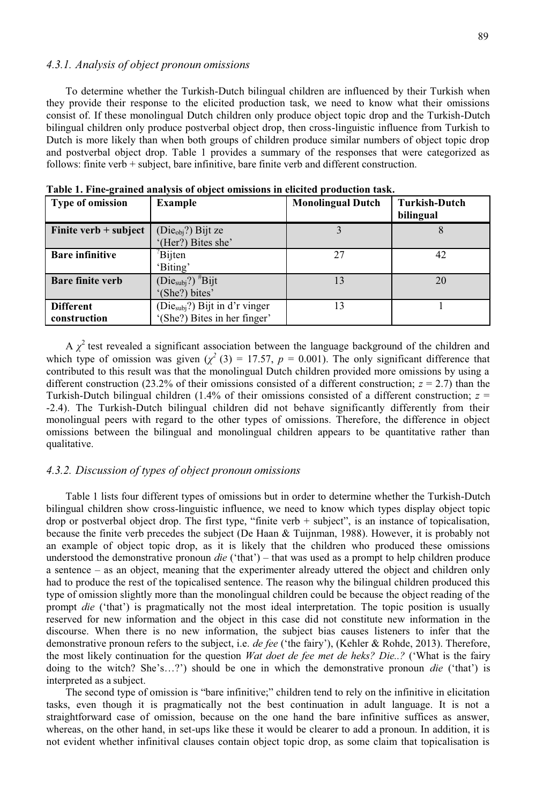#### *4.3.1. Analysis of object pronoun omissions*

To determine whether the Turkish-Dutch bilingual children are influenced by their Turkish when they provide their response to the elicited production task, we need to know what their omissions consist of. If these monolingual Dutch children only produce object topic drop and the Turkish-Dutch bilingual children only produce postverbal object drop, then cross-linguistic influence from Turkish to Dutch is more likely than when both groups of children produce similar numbers of object topic drop and postverbal object drop. Table 1 provides a summary of the responses that were categorized as follows: finite verb + subject, bare infinitive, bare finite verb and different construction.

| <b>Type of omission</b> | <b>Example</b>                    | <b>Monolingual Dutch</b> | <b>Turkish-Dutch</b><br>bilingual |
|-------------------------|-----------------------------------|--------------------------|-----------------------------------|
| Finite verb $+$ subject | $(Dieobj)$ Bijt ze                |                          |                                   |
|                         | '(Her?) Bites she'                |                          |                                   |
| <b>Bare infinitive</b>  | Bijten                            | 27                       | 42                                |
|                         | 'Biting'                          |                          |                                   |
| <b>Bare finite verb</b> | $(Diesubj?)$ <sup>#</sup> Bijt    | 13                       | 20                                |
|                         | '(She?) bites'                    |                          |                                   |
| <b>Different</b>        | ( $Diesubj$ ?) Bijt in d'r vinger | 13                       |                                   |
| construction            | '(She?) Bites in her finger'      |                          |                                   |

**Table 1. Fine-grained analysis of object omissions in elicited production task.** 

A  $\chi^2$  test revealed a significant association between the language background of the children and which type of omission was given  $(\chi^2(3) = 17.57, p = 0.001)$ . The only significant difference that contributed to this result was that the monolingual Dutch children provided more omissions by using a different construction (23.2% of their omissions consisted of a different construction;  $z = 2.7$ ) than the Turkish-Dutch bilingual children (1.4% of their omissions consisted of a different construction; *z* = -2.4). The Turkish-Dutch bilingual children did not behave significantly differently from their monolingual peers with regard to the other types of omissions. Therefore, the difference in object omissions between the bilingual and monolingual children appears to be quantitative rather than qualitative.

#### *4.3.2. Discussion of types of object pronoun omissions*

Table 1 lists four different types of omissions but in order to determine whether the Turkish-Dutch bilingual children show cross-linguistic influence, we need to know which types display object topic drop or postverbal object drop. The first type, "finite verb + subject", is an instance of topicalisation, because the finite verb precedes the subject (De Haan & Tuijnman, 1988). However, it is probably not an example of object topic drop, as it is likely that the children who produced these omissions understood the demonstrative pronoun *die* ('that') – that was used as a prompt to help children produce a sentence – as an object, meaning that the experimenter already uttered the object and children only had to produce the rest of the topicalised sentence. The reason why the bilingual children produced this type of omission slightly more than the monolingual children could be because the object reading of the prompt *die* ('that') is pragmatically not the most ideal interpretation. The topic position is usually reserved for new information and the object in this case did not constitute new information in the discourse. When there is no new information, the subject bias causes listeners to infer that the demonstrative pronoun refers to the subject, i.e. *de fee* ('the fairy'), (Kehler & Rohde, 2013). Therefore, the most likely continuation for the question *Wat doet de fee met de heks? Die..?* ('What is the fairy doing to the witch? She's…?') should be one in which the demonstrative pronoun *die* ('that') is interpreted as a subject.

The second type of omission is "bare infinitive;" children tend to rely on the infinitive in elicitation tasks, even though it is pragmatically not the best continuation in adult language. It is not a straightforward case of omission, because on the one hand the bare infinitive suffices as answer, whereas, on the other hand, in set-ups like these it would be clearer to add a pronoun. In addition, it is not evident whether infinitival clauses contain object topic drop, as some claim that topicalisation is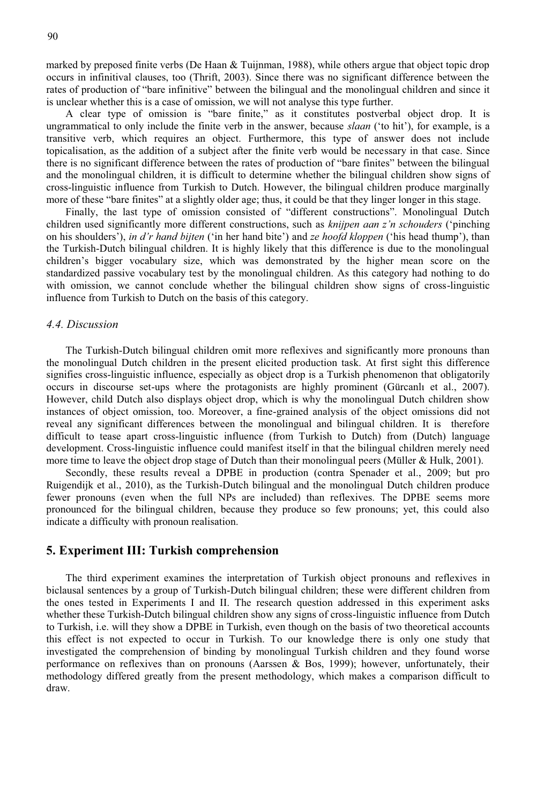90

marked by preposed finite verbs (De Haan & Tuijnman, 1988), while others argue that object topic drop occurs in infinitival clauses, too (Thrift, 2003). Since there was no significant difference between the rates of production of "bare infinitive" between the bilingual and the monolingual children and since it is unclear whether this is a case of omission, we will not analyse this type further.

A clear type of omission is "bare finite," as it constitutes postverbal object drop. It is ungrammatical to only include the finite verb in the answer, because *slaan* ('to hit'), for example, is a transitive verb, which requires an object. Furthermore, this type of answer does not include topicalisation, as the addition of a subject after the finite verb would be necessary in that case. Since there is no significant difference between the rates of production of "bare finites" between the bilingual and the monolingual children, it is difficult to determine whether the bilingual children show signs of cross-linguistic influence from Turkish to Dutch. However, the bilingual children produce marginally more of these "bare finites" at a slightly older age; thus, it could be that they linger longer in this stage.

Finally, the last type of omission consisted of "different constructions". Monolingual Dutch children used significantly more different constructions, such as *knijpen aan z'n schouders* ('pinching on his shoulders'), *in d'r hand bijten* ('in her hand bite') and *ze hoofd kloppen* ('his head thump'), than the Turkish-Dutch bilingual children. It is highly likely that this difference is due to the monolingual children's bigger vocabulary size, which was demonstrated by the higher mean score on the standardized passive vocabulary test by the monolingual children. As this category had nothing to do with omission, we cannot conclude whether the bilingual children show signs of cross-linguistic influence from Turkish to Dutch on the basis of this category.

#### *4.4. Discussion*

The Turkish-Dutch bilingual children omit more reflexives and significantly more pronouns than the monolingual Dutch children in the present elicited production task. At first sight this difference signifies cross-linguistic influence, especially as object drop is a Turkish phenomenon that obligatorily occurs in discourse set-ups where the protagonists are highly prominent (Gürcanlı et al., 2007). However, child Dutch also displays object drop, which is why the monolingual Dutch children show instances of object omission, too. Moreover, a fine-grained analysis of the object omissions did not reveal any significant differences between the monolingual and bilingual children. It is therefore difficult to tease apart cross-linguistic influence (from Turkish to Dutch) from (Dutch) language development. Cross-linguistic influence could manifest itself in that the bilingual children merely need more time to leave the object drop stage of Dutch than their monolingual peers (Müller & Hulk, 2001).

Secondly, these results reveal a DPBE in production (contra Spenader et al., 2009; but pro Ruigendijk et al., 2010), as the Turkish-Dutch bilingual and the monolingual Dutch children produce fewer pronouns (even when the full NPs are included) than reflexives. The DPBE seems more pronounced for the bilingual children, because they produce so few pronouns; yet, this could also indicate a difficulty with pronoun realisation.

#### **5. Experiment III: Turkish comprehension**

The third experiment examines the interpretation of Turkish object pronouns and reflexives in biclausal sentences by a group of Turkish-Dutch bilingual children; these were different children from the ones tested in Experiments I and II. The research question addressed in this experiment asks whether these Turkish-Dutch bilingual children show any signs of cross-linguistic influence from Dutch to Turkish, i.e. will they show a DPBE in Turkish, even though on the basis of two theoretical accounts this effect is not expected to occur in Turkish. To our knowledge there is only one study that investigated the comprehension of binding by monolingual Turkish children and they found worse performance on reflexives than on pronouns (Aarssen & Bos, 1999); however, unfortunately, their methodology differed greatly from the present methodology, which makes a comparison difficult to draw.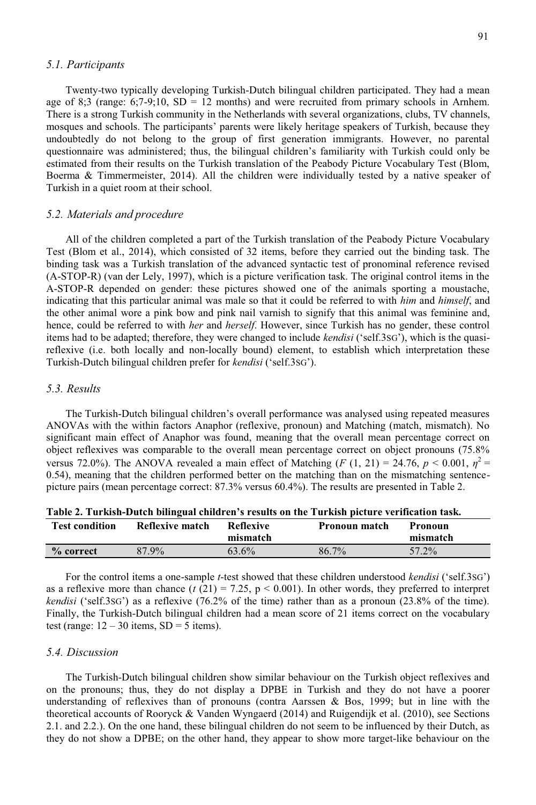#### *5.1. Participants*

Twenty-two typically developing Turkish-Dutch bilingual children participated. They had a mean age of 8;3 (range:  $6(7-9;10, SD = 12 \text{ months})$  and were recruited from primary schools in Arnhem. There is a strong Turkish community in the Netherlands with several organizations, clubs, TV channels, mosques and schools. The participants' parents were likely heritage speakers of Turkish, because they undoubtedly do not belong to the group of first generation immigrants. However, no parental questionnaire was administered; thus, the bilingual children's familiarity with Turkish could only be estimated from their results on the Turkish translation of the Peabody Picture Vocabulary Test (Blom, Boerma & Timmermeister, 2014). All the children were individually tested by a native speaker of Turkish in a quiet room at their school.

#### *5.2. Materials and procedure*

All of the children completed a part of the Turkish translation of the Peabody Picture Vocabulary Test (Blom et al., 2014), which consisted of 32 items, before they carried out the binding task. The binding task was a Turkish translation of the advanced syntactic test of pronominal reference revised (A-STOP-R) (van der Lely, 1997), which is a picture verification task. The original control items in the A-STOP-R depended on gender: these pictures showed one of the animals sporting a moustache, indicating that this particular animal was male so that it could be referred to with *him* and *himself*, and the other animal wore a pink bow and pink nail varnish to signify that this animal was feminine and, hence, could be referred to with *her* and *herself*. However, since Turkish has no gender, these control items had to be adapted; therefore, they were changed to include *kendisi* ('self.3SG'), which is the quasireflexive (i.e. both locally and non-locally bound) element, to establish which interpretation these Turkish-Dutch bilingual children prefer for *kendisi* ('self.3SG').

#### *5.3. Results*

The Turkish-Dutch bilingual children's overall performance was analysed using repeated measures ANOVAs with the within factors Anaphor (reflexive, pronoun) and Matching (match, mismatch). No significant main effect of Anaphor was found, meaning that the overall mean percentage correct on object reflexives was comparable to the overall mean percentage correct on object pronouns (75.8% versus 72.0%). The ANOVA revealed a main effect of Matching (*F* (1, 21) = 24.76,  $p < 0.001$ ,  $\eta^2$  = 0.54), meaning that the children performed better on the matching than on the mismatching sentencepicture pairs (mean percentage correct: 87.3% versus 60.4%). The results are presented in Table 2.

| <b>Test condition</b> | Reflexive match | <b>Reflexive</b><br>mismatch | <b>Pronoun match</b> | Pronoun<br>mismatch |
|-----------------------|-----------------|------------------------------|----------------------|---------------------|
| % correct             | 87.9%           | 63.6%                        | 86.7%                | 57.2%               |

**Table 2. Turkish-Dutch bilingual children's results on the Turkish picture verification task.** 

For the control items a one-sample *t*-test showed that these children understood *kendisi* ('self.3SG') as a reflexive more than chance  $(t(21) = 7.25, p < 0.001)$ . In other words, they preferred to interpret *kendisi* ('self.3SG') as a reflexive (76.2% of the time) rather than as a pronoun (23.8% of the time). Finally, the Turkish-Dutch bilingual children had a mean score of 21 items correct on the vocabulary test (range:  $12 - 30$  items,  $SD = 5$  items).

#### *5.4. Discussion*

The Turkish-Dutch bilingual children show similar behaviour on the Turkish object reflexives and on the pronouns; thus, they do not display a DPBE in Turkish and they do not have a poorer understanding of reflexives than of pronouns (contra Aarssen & Bos, 1999; but in line with the theoretical accounts of Rooryck & Vanden Wyngaerd (2014) and Ruigendijk et al. (2010), see Sections 2.1. and 2.2.). On the one hand, these bilingual children do not seem to be influenced by their Dutch, as they do not show a DPBE; on the other hand, they appear to show more target-like behaviour on the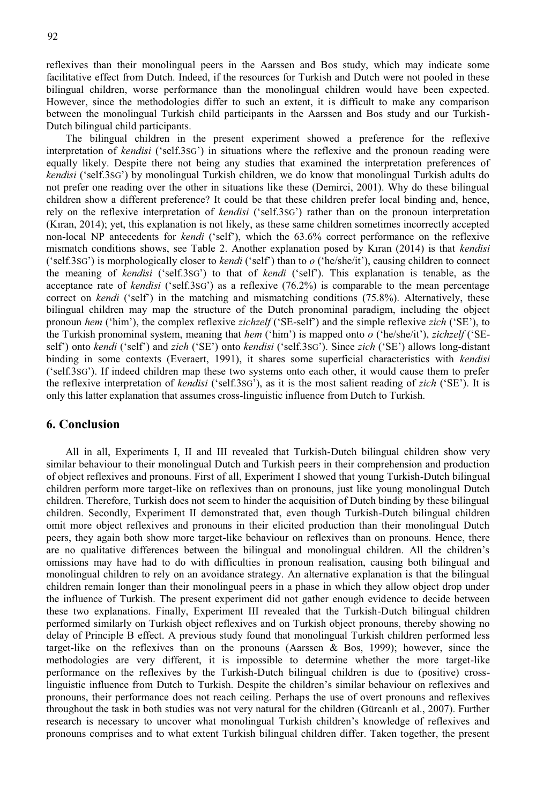reflexives than their monolingual peers in the Aarssen and Bos study, which may indicate some facilitative effect from Dutch. Indeed, if the resources for Turkish and Dutch were not pooled in these bilingual children, worse performance than the monolingual children would have been expected. However, since the methodologies differ to such an extent, it is difficult to make any comparison between the monolingual Turkish child participants in the Aarssen and Bos study and our Turkish-Dutch bilingual child participants.

The bilingual children in the present experiment showed a preference for the reflexive interpretation of *kendisi* ('self.3SG') in situations where the reflexive and the pronoun reading were equally likely. Despite there not being any studies that examined the interpretation preferences of *kendisi* ('self.3SG') by monolingual Turkish children, we do know that monolingual Turkish adults do not prefer one reading over the other in situations like these (Demirci, 2001). Why do these bilingual children show a different preference? It could be that these children prefer local binding and, hence, rely on the reflexive interpretation of *kendisi* ('self.3SG') rather than on the pronoun interpretation (Kıran, 2014); yet, this explanation is not likely, as these same children sometimes incorrectly accepted non-local NP antecedents for *kendi* ('self'), which the 63.6% correct performance on the reflexive mismatch conditions shows, see Table 2. Another explanation posed by Kıran (2014) is that *kendisi*  ('self.3SG') is morphologically closer to *kendi* ('self') than to *o* ('he/she/it'), causing children to connect the meaning of *kendisi* ('self.3SG') to that of *kendi* ('self'). This explanation is tenable, as the acceptance rate of *kendisi* ('self.3SG') as a reflexive (76.2%) is comparable to the mean percentage correct on *kendi* ('self') in the matching and mismatching conditions (75.8%). Alternatively, these bilingual children may map the structure of the Dutch pronominal paradigm, including the object pronoun *hem* ('him'), the complex reflexive *zichzelf* ('SE-self') and the simple reflexive *zich* ('SE'), to the Turkish pronominal system, meaning that *hem* ('him') is mapped onto *o* ('he/she/it'), *zichzelf* ('SEself') onto *kendi* ('self') and *zich* ('SE') onto *kendisi* ('self.3SG'). Since *zich* ('SE') allows long-distant binding in some contexts (Everaert, 1991), it shares some superficial characteristics with *kendisi*  ('self.3SG'). If indeed children map these two systems onto each other, it would cause them to prefer the reflexive interpretation of *kendisi* ('self.3SG'), as it is the most salient reading of *zich* ('SE'). It is only this latter explanation that assumes cross-linguistic influence from Dutch to Turkish.

#### **6. Conclusion**

All in all, Experiments I, II and III revealed that Turkish-Dutch bilingual children show very similar behaviour to their monolingual Dutch and Turkish peers in their comprehension and production of object reflexives and pronouns. First of all, Experiment I showed that young Turkish-Dutch bilingual children perform more target-like on reflexives than on pronouns, just like young monolingual Dutch children. Therefore, Turkish does not seem to hinder the acquisition of Dutch binding by these bilingual children. Secondly, Experiment II demonstrated that, even though Turkish-Dutch bilingual children omit more object reflexives and pronouns in their elicited production than their monolingual Dutch peers, they again both show more target-like behaviour on reflexives than on pronouns. Hence, there are no qualitative differences between the bilingual and monolingual children. All the children's omissions may have had to do with difficulties in pronoun realisation, causing both bilingual and monolingual children to rely on an avoidance strategy. An alternative explanation is that the bilingual children remain longer than their monolingual peers in a phase in which they allow object drop under the influence of Turkish. The present experiment did not gather enough evidence to decide between these two explanations. Finally, Experiment III revealed that the Turkish-Dutch bilingual children performed similarly on Turkish object reflexives and on Turkish object pronouns, thereby showing no delay of Principle B effect. A previous study found that monolingual Turkish children performed less target-like on the reflexives than on the pronouns (Aarssen & Bos, 1999); however, since the methodologies are very different, it is impossible to determine whether the more target-like performance on the reflexives by the Turkish-Dutch bilingual children is due to (positive) crosslinguistic influence from Dutch to Turkish. Despite the children's similar behaviour on reflexives and pronouns, their performance does not reach ceiling. Perhaps the use of overt pronouns and reflexives throughout the task in both studies was not very natural for the children (Gürcanlı et al., 2007). Further research is necessary to uncover what monolingual Turkish children's knowledge of reflexives and pronouns comprises and to what extent Turkish bilingual children differ. Taken together, the present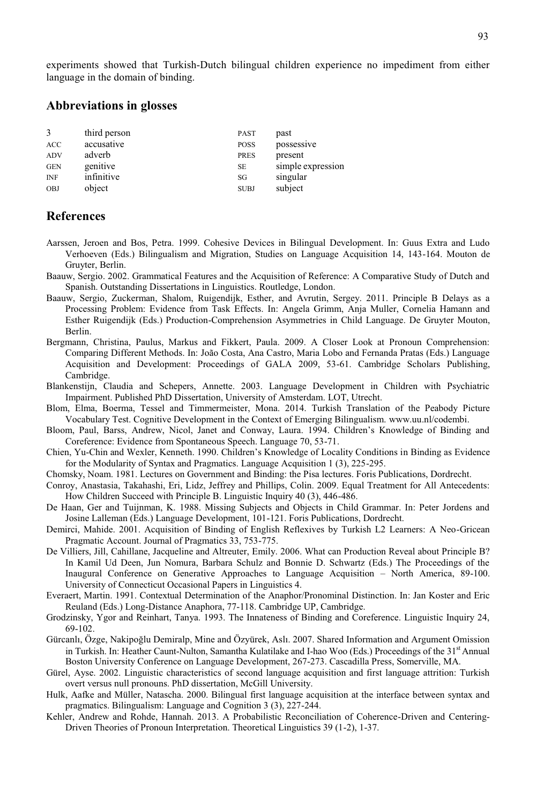experiments showed that Turkish-Dutch bilingual children experience no impediment from either language in the domain of binding.

## **Abbreviations in glosses**

| 3          | third person | <b>PAST</b> | past              |
|------------|--------------|-------------|-------------------|
| <b>ACC</b> | accusative   | <b>POSS</b> | possessive        |
| ADV        | adverb       | <b>PRES</b> | present           |
| <b>GEN</b> | genitive     | <b>SE</b>   | simple expression |
| <b>INF</b> | infinitive   | SG          | singular          |
| <b>OBJ</b> | object       | <b>SUBJ</b> | subject           |

### **References**

- Aarssen, Jeroen and Bos, Petra. 1999. Cohesive Devices in Bilingual Development. In: Guus Extra and Ludo Verhoeven (Eds.) Bilingualism and Migration, Studies on Language Acquisition 14, 143-164. Mouton de Gruyter, Berlin.
- Baauw, Sergio. 2002. Grammatical Features and the Acquisition of Reference: A Comparative Study of Dutch and Spanish. Outstanding Dissertations in Linguistics. Routledge, London.
- Baauw, Sergio, Zuckerman, Shalom, Ruigendijk, Esther, and Avrutin, Sergey. 2011. Principle B Delays as a Processing Problem: Evidence from Task Effects. In: Angela Grimm, Anja Muller, Cornelia Hamann and Esther Ruigendijk (Eds.) Production-Comprehension Asymmetries in Child Language. De Gruyter Mouton, Berlin.
- Bergmann, Christina, Paulus, Markus and Fikkert, Paula. 2009. A Closer Look at Pronoun Comprehension: Comparing Different Methods. In: João Costa, Ana Castro, Maria Lobo and Fernanda Pratas (Eds.) Language Acquisition and Development: Proceedings of GALA 2009, 53-61. Cambridge Scholars Publishing, Cambridge.
- Blankenstijn, Claudia and Schepers, Annette. 2003. Language Development in Children with Psychiatric Impairment. Published PhD Dissertation, University of Amsterdam. LOT, Utrecht.
- Blom, Elma, Boerma, Tessel and Timmermeister, Mona. 2014. Turkish Translation of the Peabody Picture Vocabulary Test. Cognitive Development in the Context of Emerging Bilingualism. www.uu.nl/codembi.
- Bloom, Paul, Barss, Andrew, Nicol, Janet and Conway, Laura. 1994. Children's Knowledge of Binding and Coreference: Evidence from Spontaneous Speech. Language 70, 53-71.
- Chien, Yu-Chin and Wexler, Kenneth. 1990. Children's Knowledge of Locality Conditions in Binding as Evidence for the Modularity of Syntax and Pragmatics. Language Acquisition 1 (3), 225-295.
- Chomsky, Noam. 1981. Lectures on Government and Binding: the Pisa lectures. Foris Publications, Dordrecht.
- Conroy, Anastasia, Takahashi, Eri, Lidz, Jeffrey and Phillips, Colin. 2009. Equal Treatment for All Antecedents: How Children Succeed with Principle B. Linguistic Inquiry 40 (3), 446-486.
- De Haan, Ger and Tuijnman, K. 1988. Missing Subjects and Objects in Child Grammar. In: Peter Jordens and Josine Lalleman (Eds.) Language Development, 101-121. Foris Publications, Dordrecht.
- Demirci, Mahide. 2001. Acquisition of Binding of English Reflexives by Turkish L2 Learners: A Neo-Gricean Pragmatic Account. Journal of Pragmatics 33, 753-775.
- De Villiers, Jill, Cahillane, Jacqueline and Altreuter, Emily. 2006. What can Production Reveal about Principle B? In Kamil Ud Deen, Jun Nomura, Barbara Schulz and Bonnie D. Schwartz (Eds.) The Proceedings of the Inaugural Conference on Generative Approaches to Language Acquisition – North America, 89-100. University of Connecticut Occasional Papers in Linguistics 4.
- Everaert, Martin. 1991. Contextual Determination of the Anaphor/Pronominal Distinction. In: Jan Koster and Eric Reuland (Eds.) Long-Distance Anaphora, 77-118. Cambridge UP, Cambridge.
- Grodzinsky, Ygor and Reinhart, Tanya. 1993. The Innateness of Binding and Coreference. Linguistic Inquiry 24, 69-102.
- Gürcanlı, Özge, Nakipoğlu Demiralp, Mine and Özyürek, Aslı. 2007. Shared Information and Argument Omission in Turkish. In: Heather Caunt-Nulton, Samantha Kulatilake and I-hao Woo (Eds.) Proceedings of the 31<sup>st</sup> Annual Boston University Conference on Language Development, 267-273. Cascadilla Press, Somerville, MA.
- Gürel, Ayse. 2002. Linguistic characteristics of second language acquisition and first language attrition: Turkish overt versus null pronouns. PhD dissertation, McGill University.
- Hulk, Aafke and Müller, Natascha. 2000. Bilingual first language acquisition at the interface between syntax and pragmatics. Bilingualism: Language and Cognition 3 (3), 227-244.
- Kehler, Andrew and Rohde, Hannah. 2013. A Probabilistic Reconciliation of Coherence-Driven and Centering-Driven Theories of Pronoun Interpretation. Theoretical Linguistics 39 (1-2), 1-37.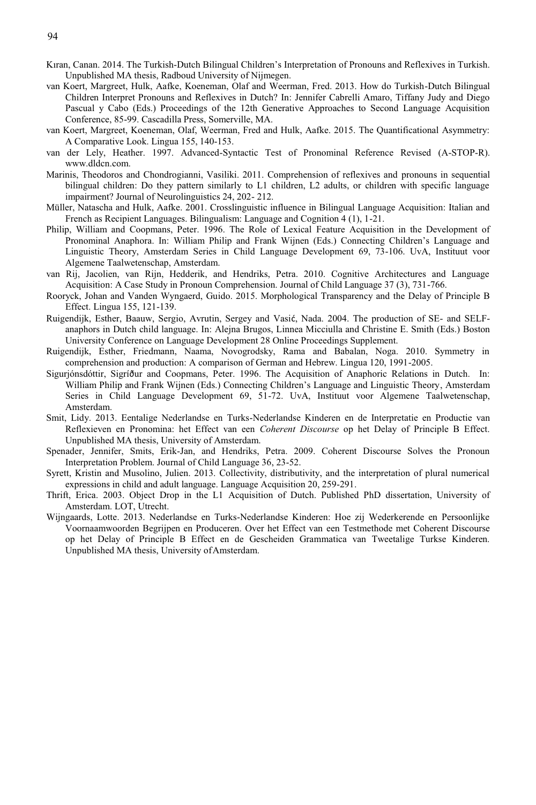94

- Kıran, Canan. 2014. The Turkish-Dutch Bilingual Children's Interpretation of Pronouns and Reflexives in Turkish. Unpublished MA thesis, Radboud University of Nijmegen.
- van Koert, Margreet, Hulk, Aafke, Koeneman, Olaf and Weerman, Fred. 2013. How do Turkish-Dutch Bilingual Children Interpret Pronouns and Reflexives in Dutch? In: Jennifer Cabrelli Amaro, Tiffany Judy and Diego Pascual y Cabo (Eds.) Proceedings of the 12th Generative Approaches to Second Language Acquisition Conference, 85-99. Cascadilla Press, Somerville, MA.
- van Koert, Margreet, Koeneman, Olaf, Weerman, Fred and Hulk, Aafke. 2015. The Quantificational Asymmetry: A Comparative Look. Lingua 155, 140-153.
- van der Lely, Heather. 1997. Advanced-Syntactic Test of Pronominal Reference Revised (A-STOP-R). www.dldcn.com.
- Marinis, Theodoros and Chondrogianni, Vasiliki. 2011. Comprehension of reflexives and pronouns in sequential bilingual children: Do they pattern similarly to L1 children, L2 adults, or children with specific language impairment? Journal of Neurolinguistics 24, 202- 212.
- Müller, Natascha and Hulk, Aafke. 2001. Crosslinguistic influence in Bilingual Language Acquisition: Italian and French as Recipient Languages. Bilingualism: Language and Cognition 4 (1), 1-21.
- Philip, William and Coopmans, Peter. 1996. The Role of Lexical Feature Acquisition in the Development of Pronominal Anaphora. In: William Philip and Frank Wijnen (Eds.) Connecting Children's Language and Linguistic Theory, Amsterdam Series in Child Language Development 69, 73-106. UvA, Instituut voor Algemene Taalwetenschap, Amsterdam.
- van Rij, Jacolien, van Rijn, Hedderik, and Hendriks, Petra. 2010. Cognitive Architectures and Language Acquisition: A Case Study in Pronoun Comprehension. Journal of Child Language 37 (3), 731-766.
- Rooryck, Johan and Vanden Wyngaerd, Guido. 2015. Morphological Transparency and the Delay of Principle B Effect. Lingua 155, 121-139.
- Ruigendijk, Esther, Baauw, Sergio, Avrutin, Sergey and Vasić, Nada. 2004. The production of SE- and SELFanaphors in Dutch child language. In: Alejna Brugos, Linnea Micciulla and Christine E. Smith (Eds.) Boston University Conference on Language Development 28 Online Proceedings Supplement.
- Ruigendijk, Esther, Friedmann, Naama, Novogrodsky, Rama and Babalan, Noga. 2010. Symmetry in comprehension and production: A comparison of German and Hebrew. Lingua 120, 1991-2005.
- Sigurjónsdóttir, Sigríður and Coopmans, Peter. 1996. The Acquisition of Anaphoric Relations in Dutch. In: William Philip and Frank Wijnen (Eds.) Connecting Children's Language and Linguistic Theory, Amsterdam Series in Child Language Development 69, 51-72. UvA, Instituut voor Algemene Taalwetenschap, Amsterdam.
- Smit, Lidy. 2013. Eentalige Nederlandse en Turks-Nederlandse Kinderen en de Interpretatie en Productie van Reflexieven en Pronomina: het Effect van een *Coherent Discourse* op het Delay of Principle B Effect. Unpublished MA thesis, University of Amsterdam.
- Spenader, Jennifer, Smits, Erik-Jan, and Hendriks, Petra. 2009. Coherent Discourse Solves the Pronoun Interpretation Problem. Journal of Child Language 36, 23-52.
- Syrett, Kristin and Musolino, Julien. 2013. Collectivity, distributivity, and the interpretation of plural numerical expressions in child and adult language. Language Acquisition 20, 259-291.
- Thrift, Erica. 2003. Object Drop in the L1 Acquisition of Dutch. Published PhD dissertation, University of Amsterdam. LOT, Utrecht.
- Wijngaards, Lotte. 2013. Nederlandse en Turks-Nederlandse Kinderen: Hoe zij Wederkerende en Persoonlijke Voornaamwoorden Begrijpen en Produceren. Over het Effect van een Testmethode met Coherent Discourse op het Delay of Principle B Effect en de Gescheiden Grammatica van Tweetalige Turkse Kinderen. Unpublished MA thesis, University of Amsterdam.